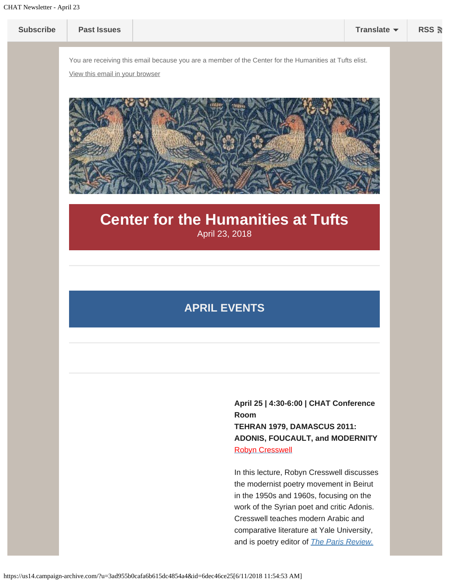

the modernist poetry movement in Beirut in the 1950s and 1960s, focusing on the work of the Syrian poet and critic Adonis. Cresswell teaches modern Arabic and comparative literature at Yale University, and is poetry editor of *[The Paris Review.](https://www.theparisreview.org/)*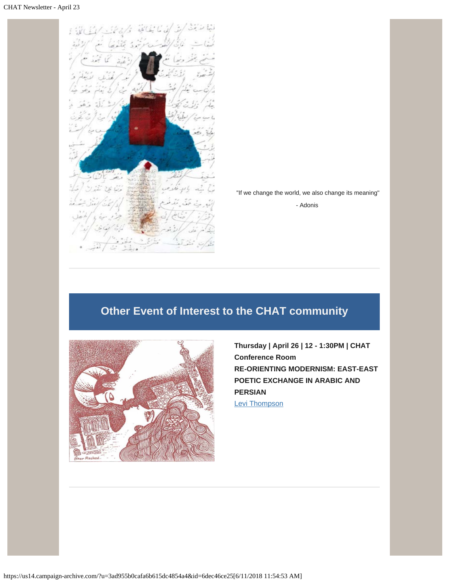

"If we change the world, we also change its meaning"

- Adonis

## **Other Event of Interest to the CHAT community**



**Thursday | April 26 | 12 - 1:30PM | CHAT Conference Room RE-ORIENTING MODERNISM: EAST-EAST POETIC EXCHANGE IN ARABIC AND PERSIAN** [Levi Thompson](https://www.brown.edu/research/pembroke-center/postdoctoral-fellows)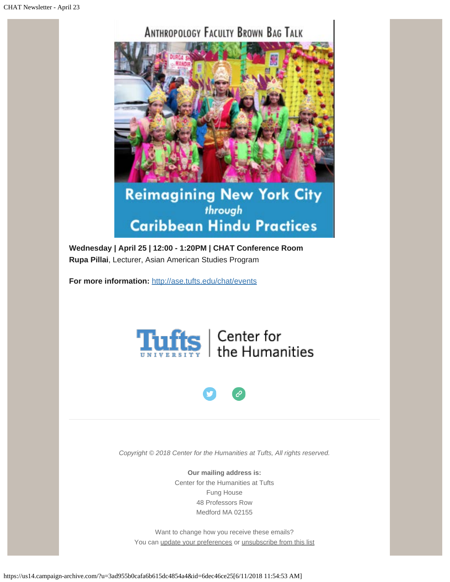## **ANTHROPOLOGY FACULTY BROWN BAG TALK**



## **Reimagining New York City** through **Caribbean Hindu Practices**

**Wednesday | April 25 | 12:00 - 1:20PM | CHAT Conference Room Rupa Pillai**, Lecturer, Asian American Studies Program

**For more information:** <http://ase.tufts.edu/chat/events>





*Copyright © 2018 Center for the Humanities at Tufts, All rights reserved.*

**Our mailing address is:**

Center for the Humanities at Tufts Fung House 48 Professors Row Medford MA 02155

Want to change how you receive these emails? You can [update your preferences](https://tufts.us14.list-manage.com/profile?u=3ad955b0cafa6b615dc4854a4&id=ec2eaa1a96&e=[UNIQID]) or [unsubscribe from this list](https://tufts.us14.list-manage.com/unsubscribe?u=3ad955b0cafa6b615dc4854a4&id=ec2eaa1a96&e=[UNIQID]&c=6dec46ce25)